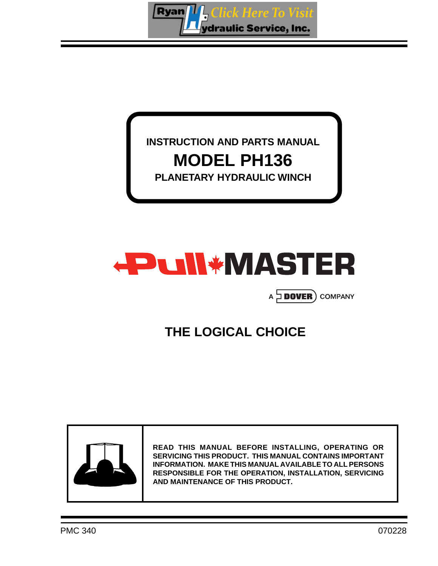ick Here To Visit **Ryan** ydraulic Service, Inc.

### **INSTRUCTION AND PARTS MANUAL MODEL PH136 PLANETARY HYDRAULIC WINCH**



### A **DOVER** COMPANY

### **THE LOGICAL CHOICE**



**READ THIS MANUAL BEFORE INSTALLING, OPERATING OR SERVICING THIS PRODUCT. THIS MANUAL CONTAINS IMPORTANT INFORMATION. MAKE THIS MANUAL AVAILABLE TO ALL PERSONS RESPONSIBLE FOR THE OPERATION, INSTALLATION, SERVICING AND MAINTENANCE OF THIS PRODUCT.**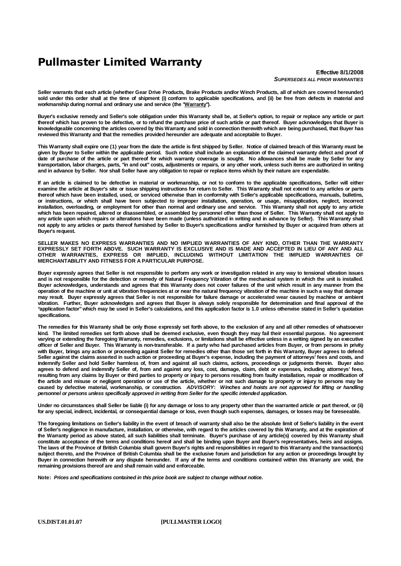### **Pullmaster Limited Warranty**

**Effective 8/1/2008** *SUPERSEDES ALL PRIOR WARRANTIES*

Seller warrants that each article (whether Gear Drive Products, Brake Products and/or Winch Products, all of which are covered hereunder) sold under this order shall at the time of shipment (i) conform to applicable specifications, and (ii) be free from defects in material and **workmanship during normal and ordinary use and service (the "Warranty").**

Buyer's exclusive remedy and Seller's sole obligation under this Warranty shall be, at Seller's option, to repair or replace any article or part thereof which has proven to be defective, or to refund the purchase price of such article or part thereof. Buyer acknowledges that Buyer is knowledgeable concerning the articles covered by this Warranty and sold in connection therewith which are being purchased, that Buyer has **reviewed this Warranty and that the remedies provided hereunder are adequate and acceptable to Buyer.**

This Warranty shall expire one (1) year from the date the article is first shipped by Seller. Notice of claimed breach of this Warranty must be given by Buyer to Seller within the applicable period. Such notice shall include an explanation of the claimed warranty defect and proof of date of purchase of the article or part thereof for which warranty coverage is sought. No allowances shall be made by Seller for any transportation, labor charges, parts, "in and out" costs, adjustments or repairs, or any other work, unless such items are authorized in writing and in advance by Seller. Nor shall Seller have any obligation to repair or replace items which by their nature are expendable.

If an article is claimed to be defective in material or workmanship, or not to conform to the applicable specifications, Seller will either examine the article at Buver's site or issue shipping instructions for return to Seller. This Warranty shall not extend to any articles or parts thereof which have been installed, used, or serviced otherwise than in conformity with Seller's applicable specifications, manuals, bulletins, or instructions, or which shall have been subjected to improper installation, operation, or usage, misapplication, neglect, incorrect installation, overloading, or employment for other than normal and ordinary use and service. This Warranty shall not apply to any article installation, overloading, or employment for other than normal and ordinary use and which has been repaired, altered or disassembled, or assembled by personnel other than those of Seller. This Warranty shall not apply to any article upon which repairs or alterations have been made (unless authorized in writing and in advance by Seller). This Warranty shall not apply to any articles or parts thereof furnished by Seller to Buyer's specifications and/or furnished by Buyer or acquired from others at **Buyer's request.**

**SELLER MAKES NO EXPRESS WARRANTIES AND NO IMPLIED WARRANTIES OF ANY KIND, OTHER THAN THE WARRANTY** EXPRESSLY SET FORTH ABOVE. SUCH WARRANTY IS EXCLUSIVE AND IS MADE AND ACCEPTED IN LIEU OF ANY AND ALL **OTHER WARRANTIES, EXPRESS OR IMPLIED, INCLUDING WITHOUT LIMITATION THE IMPLIED WARRANTIES OF MERCHANTABILITY AND FITNESS FOR A PARTICULAR PURPOSE.**

Buyer expressly agrees that Seller is not responsible to perform any work or investigation related in any way to tensional vibration issues and is not responsible for the detection or remedy of Natural Frequency Vibration of the mechanical system in which the unit is installed. Buyer acknowledges, understands and agrees that this Warranty does not cover failures of the unit which result in any manner from the operation of the machine or unit at vibration frequencies at or near the natural frequency vibration of the machine in such a way that damage may result. Buyer expressly agrees that Seller is not responsible for failure damage or accelerated wear caused by machine or ambient vibration. Further, Buyer acknowledges and agrees that Buyer is always solely responsible for determination and final approval of the "application factor" which may be used in Seller's calculations, and this application factor is 1.0 unless otherwise stated in Seller's quotation **specifications.**

The remedies for this Warranty shall be only those expressly set forth above, to the exclusion of any and all other remedies of whatsoever kind. The limited remedies set forth above shall be deemed exclusive, even though they may fail their essential purpose. No agreement varying or extending the foregoing Warranty, remedies, exclusions, or limitations shall be effective unless in a writing signed by an executive officer of Seller and Buyer. This Warranty is non-transferable. If a party who had purchased articles from Buyer, or from persons in privity with Buyer, brings any action or proceeding against Seller for remedies other than those set forth in this Warranty, Buyer agrees to defend Seller against the claims asserted in such action or proceeding at Buyer's expense, including the payment of attorneys' fees and costs, and indemnify Seller and hold Seller harmless of, from and against all such claims, actions, proceedings or judgments therein. Buyer also agrees to defend and indemnify Seller of, from and against any loss, cost, damage, claim, debt or expenses, including attorneys' fees, resulting from any claims by Buyer or third parties to property or injury to persons resulting from faulty installation, repair or modification of the article and misuse or negligent operation or use of the article, whether or not such damage to property or injury to persons may be caused by defective material, workmanship, or construction. ADVISORY: Winches and hoists are not approved for lifting or handling *personnel or persons unless specifically approved in writing from Seller for the specific intended application.*

Under no circumstances shall Seller be liable (i) for any damage or loss to any property other than the warranted article or part thereof, or (ii) for any special, indirect, incidental, or consequential damage or loss, even though such expenses, damages, or losses may be foreseeable.

The foregoing limitations on Seller's liability in the event of breach of warranty shall also be the absolute limit of Seller's liability in the event of Seller's negligence in manufacture, installation, or otherwise, with regard to the articles covered by this Warranty, and at the expiration of the Warranty period as above stated, all such liabilities shall terminate. Buyer's purchase of any article(s) covered by this Warranty shall constitute acceptance of the terms and conditions hereof and shall be binding upon Buyer and Buyer's representatives, heirs and assigns. The laws of the Province of British Columbia shall govern Buyer's rights and responsibilities in regard to this Warranty and the transaction(s) subject thereto, and the Province of British Columbia shall be the exclusive forum and jurisdiction for any action or proceedings brought by Buyer in connection herewith or any dispute hereunder. If any of the terms and conditions contained within this Warranty are void, the **remaining provisions thereof are and shall remain valid and enforceable.**

**Note:** *Prices and specifications contained in this price book are subject to change without notice.*

**US.DIST.01.01.07 [PULLMASTER LOGO]**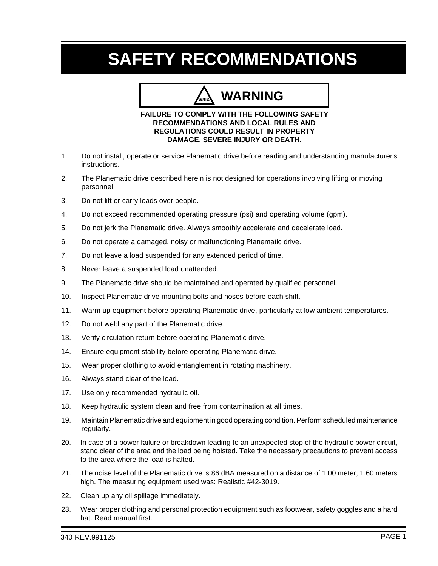## **SAFETY RECOMMENDATIONS**

## **WARNING**

#### **FAILURE TO COMPLY WITH THE FOLLOWING SAFETY RECOMMENDATIONS AND LOCAL RULES AND REGULATIONS COULD RESULT IN PROPERTY DAMAGE, SEVERE INJURY OR DEATH.**

- 1. Do not install, operate or service Planematic drive before reading and understanding manufacturer's instructions.
- 2. The Planematic drive described herein is not designed for operations involving lifting or moving personnel.
- 3. Do not lift or carry loads over people.
- 4. Do not exceed recommended operating pressure (psi) and operating volume (gpm).
- 5. Do not jerk the Planematic drive. Always smoothly accelerate and decelerate load.
- 6. Do not operate a damaged, noisy or malfunctioning Planematic drive.
- 7. Do not leave a load suspended for any extended period of time.
- 8. Never leave a suspended load unattended.
- 9. The Planematic drive should be maintained and operated by qualified personnel.
- 10. Inspect Planematic drive mounting bolts and hoses before each shift.
- 11. Warm up equipment before operating Planematic drive, particularly at low ambient temperatures.
- 12. Do not weld any part of the Planematic drive.
- 13. Verify circulation return before operating Planematic drive.
- 14. Ensure equipment stability before operating Planematic drive.
- 15. Wear proper clothing to avoid entanglement in rotating machinery.
- 16. Always stand clear of the load.
- 17. Use only recommended hydraulic oil.
- 18. Keep hydraulic system clean and free from contamination at all times.
- 19. Maintain Planematic drive and equipment in good operating condition. Perform scheduled maintenance regularly.
- 20. In case of a power failure or breakdown leading to an unexpected stop of the hydraulic power circuit, stand clear of the area and the load being hoisted. Take the necessary precautions to prevent access to the area where the load is halted.
- 21. The noise level of the Planematic drive is 86 dBA measured on a distance of 1.00 meter, 1.60 meters high. The measuring equipment used was: Realistic #42-3019.
- 22. Clean up any oil spillage immediately.
- 23. Wear proper clothing and personal protection equipment such as footwear, safety goggles and a hard hat. Read manual first.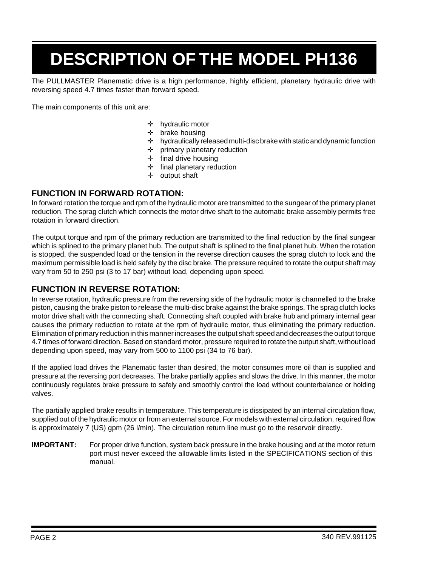# **DESCRIPTION OF THE MODEL PH136**

The PULLMASTER Planematic drive is a high performance, highly efficient, planetary hydraulic drive with reversing speed 4.7 times faster than forward speed.

The main components of this unit are:

- ✛ hydraulic motor
- ✛ brake housing
- ✛ hydraulically released multi-disc brake with static and dynamic function
- ✛ primary planetary reduction
- ✛ final drive housing
- ✛ final planetary reduction
- ✛ output shaft

#### **FUNCTION IN FORWARD ROTATION:**

In forward rotation the torque and rpm of the hydraulic motor are transmitted to the sungear of the primary planet reduction. The sprag clutch which connects the motor drive shaft to the automatic brake assembly permits free rotation in forward direction.

The output torque and rpm of the primary reduction are transmitted to the final reduction by the final sungear which is splined to the primary planet hub. The output shaft is splined to the final planet hub. When the rotation is stopped, the suspended load or the tension in the reverse direction causes the sprag clutch to lock and the maximum permissible load is held safely by the disc brake. The pressure required to rotate the output shaft may vary from 50 to 250 psi (3 to 17 bar) without load, depending upon speed.

#### **FUNCTION IN REVERSE ROTATION:**

In reverse rotation, hydraulic pressure from the reversing side of the hydraulic motor is channelled to the brake piston, causing the brake piston to release the multi-disc brake against the brake springs. The sprag clutch locks motor drive shaft with the connecting shaft. Connecting shaft coupled with brake hub and primary internal gear causes the primary reduction to rotate at the rpm of hydraulic motor, thus eliminating the primary reduction. Elimination of primary reduction in this manner increases the output shaft speed and decreases the output torque 4.7 times of forward direction. Based on standard motor, pressure required to rotate the output shaft, without load depending upon speed, may vary from 500 to 1100 psi (34 to 76 bar).

If the applied load drives the Planematic faster than desired, the motor consumes more oil than is supplied and pressure at the reversing port decreases. The brake partially applies and slows the drive. In this manner, the motor continuously regulates brake pressure to safely and smoothly control the load without counterbalance or holding valves.

The partially applied brake results in temperature. This temperature is dissipated by an internal circulation flow, supplied out of the hydraulic motor or from an external source. For models with external circulation, required flow is approximately 7 (US) gpm (26 l/min). The circulation return line must go to the reservoir directly.

**IMPORTANT:** For proper drive function, system back pressure in the brake housing and at the motor return port must never exceed the allowable limits listed in the SPECIFICATIONS section of this manual.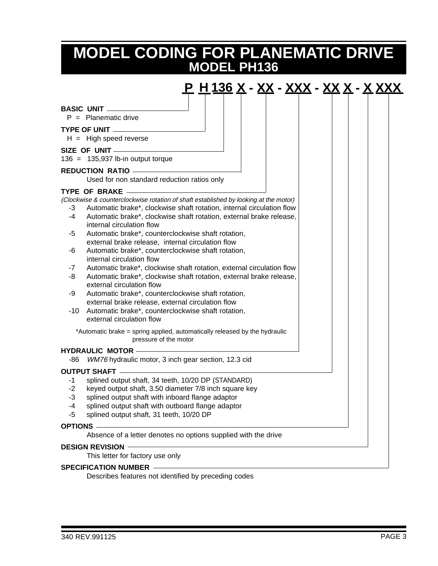### **MODEL PH136 MODEL CODING FOR PLANEMATIC DRIVE**



Describes features not identified by preceding codes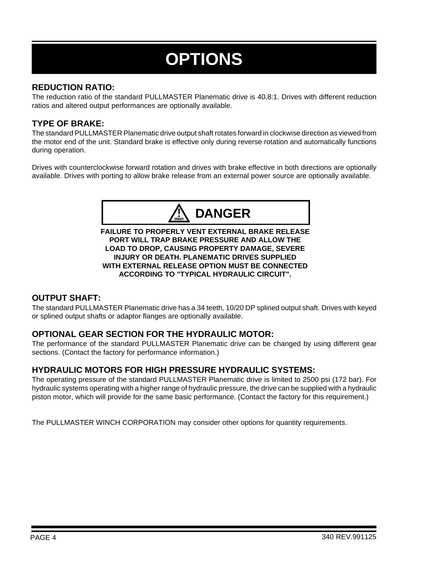# **OPTIONS**

#### **REDUCTION RATIO:**

The reduction ratio of the standard PULLMASTER Planematic drive is 40.8:1. Drives with different reduction ratios and altered output performances are optionally available.

#### **TYPE OF BRAKE:**

The standard PULLMASTER Planematic drive output shaft rotates forward in clockwise direction as viewed from the motor end of the unit. Standard brake is effective only during reverse rotation and automatically functions during operation.

Drives with counterclockwise forward rotation and drives with brake effective in both directions are optionally available. Drives with porting to allow brake release from an external power source are optionally available.



**FAILURE TO PROPERLY VENT EXTERNAL BRAKE RELEASE PORT WILL TRAP BRAKE PRESSURE AND ALLOW THE LOAD TO DROP, CAUSING PROPERTY DAMAGE, SEVERE INJURY OR DEATH. PLANEMATIC DRIVES SUPPLIED WITH EXTERNAL RELEASE OPTION MUST BE CONNECTED ACCORDING TO "TYPICAL HYDRAULIC CIRCUIT".**

#### **OUTPUT SHAFT:**

The standard PULLMASTER Planematic drive has a 34 teeth, 10/20 DP splined output shaft. Drives with keyed or splined output shafts or adaptor flanges are optionally available.

#### **OPTIONAL GEAR SECTION FOR THE HYDRAULIC MOTOR:**

The performance of the standard PULLMASTER Planematic drive can be changed by using different gear sections. (Contact the factory for performance information.)

#### **HYDRAULIC MOTORS FOR HIGH PRESSURE HYDRAULIC SYSTEMS:**

The operating pressure of the standard PULLMASTER Planematic drive is limited to 2500 psi (172 bar). For hydraulic systems operating with a higher range of hydraulic pressure, the drive can be supplied with a hydraulic piston motor, which will provide for the same basic performance. (Contact the factory for this requirement.)

The PULLMASTER WINCH CORPORATION may consider other options for quantity requirements.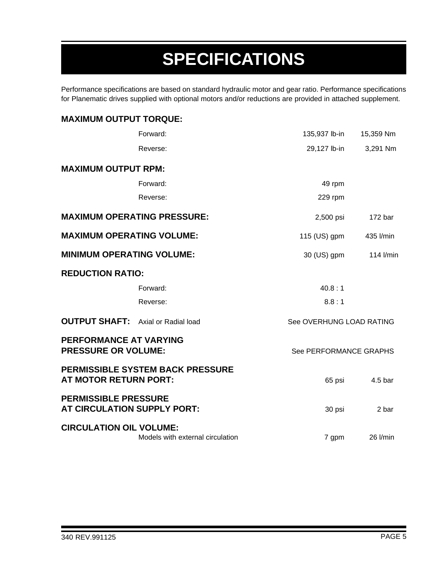# **SPECIFICATIONS**

Performance specifications are based on standard hydraulic motor and gear ratio. Performance specifications for Planematic drives supplied with optional motors and/or reductions are provided in attached supplement.

| <b>MAXIMUM OUTPUT TORQUE:</b>                              |                                         |                          |                    |
|------------------------------------------------------------|-----------------------------------------|--------------------------|--------------------|
|                                                            | Forward:                                | 135,937 lb-in            | 15,359 Nm          |
|                                                            | Reverse:                                | 29,127 lb-in             | 3,291 Nm           |
| <b>MAXIMUM OUTPUT RPM:</b>                                 |                                         |                          |                    |
|                                                            | Forward:                                | 49 rpm                   |                    |
|                                                            | Reverse:                                | 229 rpm                  |                    |
|                                                            | <b>MAXIMUM OPERATING PRESSURE:</b>      | 2,500 psi                | 172 <sub>bar</sub> |
| <b>MAXIMUM OPERATING VOLUME:</b>                           |                                         | 115 (US) gpm             | 435 l/min          |
| <b>MINIMUM OPERATING VOLUME:</b>                           |                                         | 30 (US) gpm              | 114 l/min          |
| <b>REDUCTION RATIO:</b>                                    |                                         |                          |                    |
|                                                            | Forward:                                | 40.8:1                   |                    |
|                                                            | Reverse:                                | 8.8:1                    |                    |
| <b>OUTPUT SHAFT:</b> Axial or Radial load                  |                                         | See OVERHUNG LOAD RATING |                    |
| PERFORMANCE AT VARYING<br><b>PRESSURE OR VOLUME:</b>       |                                         | See PERFORMANCE GRAPHS   |                    |
| <b>AT MOTOR RETURN PORT:</b>                               | <b>PERMISSIBLE SYSTEM BACK PRESSURE</b> | 65 psi                   | 4.5 bar            |
| <b>PERMISSIBLE PRESSURE</b><br>AT CIRCULATION SUPPLY PORT: |                                         | 30 psi                   | 2 bar              |
| <b>CIRCULATION OIL VOLUME:</b>                             | Models with external circulation        | 7 gpm                    | 26 l/min           |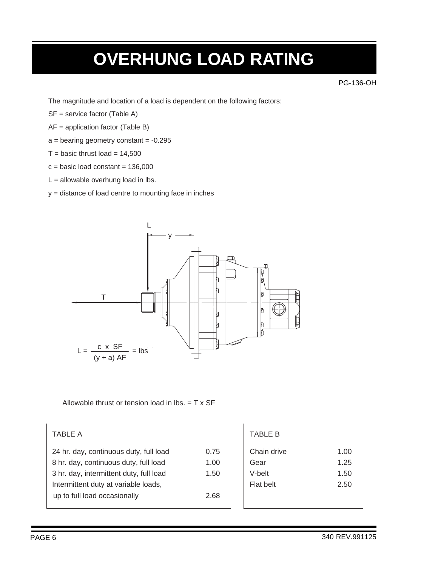### **OVERHUNG LOAD RATING**

PG-136-OH

The magnitude and location of a load is dependent on the following factors:

- SF = service factor (Table A)
- AF = application factor (Table B)
- $a =$  bearing geometry constant  $= -0.295$
- $T =$  basic thrust load = 14,500
- $c = basic load constant = 136,000$
- $L =$  allowable overhung load in lbs.
- y = distance of load centre to mounting face in inches



Allowable thrust or tension load in lbs.  $= T \times SF$ 

#### TABLE A

| 24 hr. day, continuous duty, full load  | 0.75 |
|-----------------------------------------|------|
| 8 hr. day, continuous duty, full load   | 1.00 |
| 3 hr. day, intermittent duty, full load | 1.50 |
| Intermittent duty at variable loads,    |      |
| up to full load occasionally            | 2.68 |
|                                         |      |

| <b>TABLE B</b> |      |
|----------------|------|
| Chain drive    | 1.00 |
| Gear           | 1.25 |
| V-belt         | 1.50 |
| Flat belt      | 2.50 |
|                |      |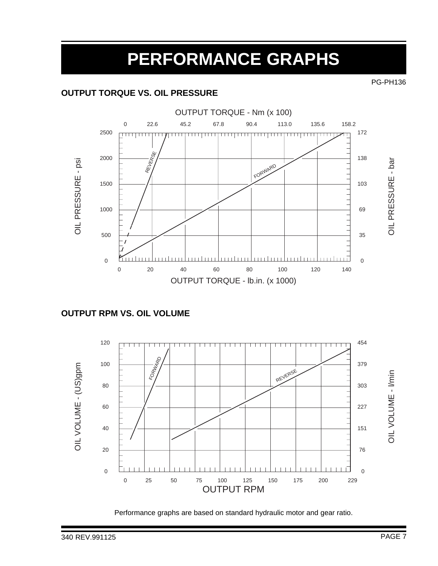## **PERFORMANCE GRAPHS**

#### **OUTPUT TORQUE VS. OIL PRESSURE**



#### **OUTPUT RPM VS. OIL VOLUME**



Performance graphs are based on standard hydraulic motor and gear ratio.

PG-PH136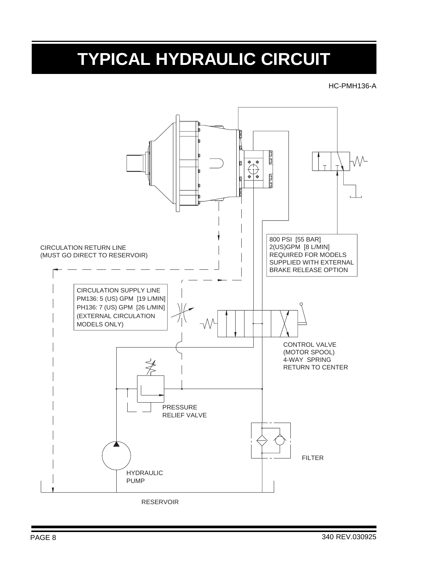## **TYPICAL HYDRAULIC CIRCUIT**

#### HC-PMH136-A



RESERVOIR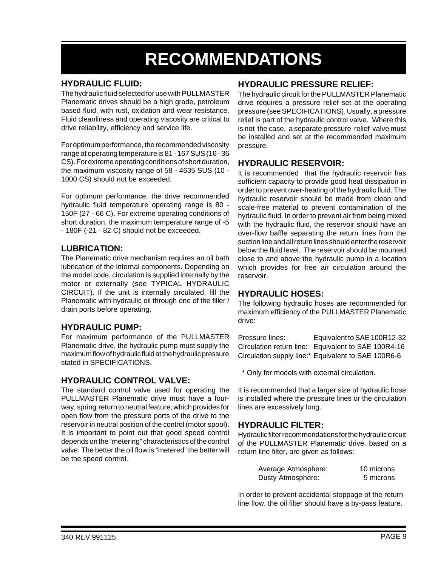## **RECOMMENDATIONS**

#### **HYDRAULIC FLUID:**

The hydraulic fluid selected for use with PULLMASTER Planematic drives should be a high grade, petroleum based fluid, with rust, oxidation and wear resistance. Fluid cleanliness and operating viscosity are critical to drive reliability, efficiency and service life.

For optimum performance, the recommended viscosity range at operating temperature is 81 - 167 SUS (16 - 36 CS). For extreme operating conditions of short duration, the maximum viscosity range of 58 - 4635 SUS (10 - 1000 CS) should not be exceeded.

For optimum performance, the drive recommended hydraulic fluid temperature operating range is 80 - 150F (27 - 66 C). For extreme operating conditions of short duration, the maximum temperature range of -5 - 180F (-21 - 82 C) should not be exceeded.

#### **LUBRICATION:**

The Planematic drive mechanism requires an oil bath lubrication of the internal components. Depending on the model code, circulation is supplied internally by the motor or externally (see TYPICAL HYDRAULIC CIRCUIT). If the unit is internally circulated, fill the Planematic with hydraulic oil through one of the filler / drain ports before operating.

#### **HYDRAULIC PUMP:**

For maximum performance of the PULLMASTER Planematic drive, the hydraulic pump must supply the maximum flow of hydraulic fluid at the hydraulic pressure stated in SPECIFICATIONS.

#### **HYDRAULIC CONTROL VALVE:**

The standard control valve used for operating the PULLMASTER Planematic drive must have a fourway, spring return to neutral feature, which provides for open flow from the pressure ports of the drive to the reservoir in neutral position of the control (motor spool). It is important to point out that good speed control depends on the "metering" characteristics of the control valve. The better the oil flow is "metered" the better will be the speed control.

#### **HYDRAULIC PRESSURE RELIEF:**

The hydraulic circuit for the PULLMASTER Planematic drive requires a pressure relief set at the operating pressure (see SPECIFICATIONS). Usually, a pressure relief is part of the hydraulic control valve. Where this is not the case, a separate pressure relief valve must be installed and set at the recommended maximum pressure.

#### **HYDRAULIC RESERVOIR:**

It is recommended that the hydraulic reservoir has sufficient capacity to provide good heat dissipation in order to prevent over-heating of the hydraulic fluid. The hydraulic reservoir should be made from clean and scale-free material to prevent contamination of the hydraulic fluid. In order to prevent air from being mixed with the hydraulic fluid, the reservoir should have an over-flow baffle separating the return lines from the suction line and all return lines should enter the reservoir below the fluid level. The reservoir should be mounted close to and above the hydraulic pump in a location which provides for free air circulation around the reservoir.

#### **HYDRAULIC HOSES:**

The following hydraulic hoses are recommended for maximum efficiency of the PULLMASTER Planematic drive:

Pressure lines: Equivalent to SAE 100R12-32 Circulation return line: Equivalent to SAE 100R4-16 Circulation supply line:\* Equivalent to SAE 100R6-6

\* Only for models with external circulation.

It is recommended that a larger size of hydraulic hose is installed where the pressure lines or the circulation lines are excessively long.

#### **HYDRAULIC FILTER:**

Hydraulic filter recommendations for the hydraulic circuit of the PULLMASTER Planematic drive, based on a return line filter, are given as follows:

| Average Atmosphere: | 10 microns |
|---------------------|------------|
| Dusty Atmosphere:   | 5 microns  |

In order to prevent accidental stoppage of the return line flow, the oil filter should have a by-pass feature.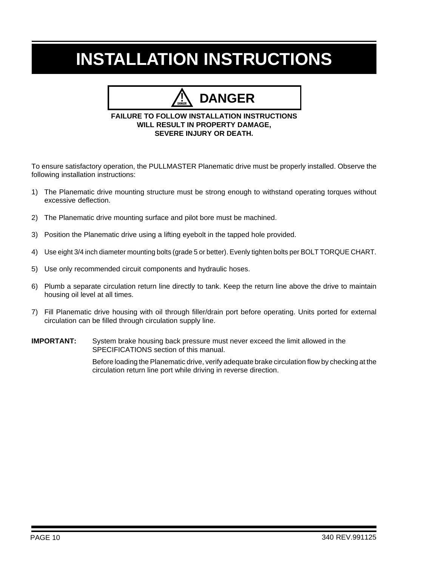# **INSTALLATION INSTRUCTIONS**

### **DANGER**

#### **FAILURE TO FOLLOW INSTALLATION INSTRUCTIONS WILL RESULT IN PROPERTY DAMAGE, SEVERE INJURY OR DEATH.**

To ensure satisfactory operation, the PULLMASTER Planematic drive must be properly installed. Observe the following installation instructions:

- 1) The Planematic drive mounting structure must be strong enough to withstand operating torques without excessive deflection.
- 2) The Planematic drive mounting surface and pilot bore must be machined.
- 3) Position the Planematic drive using a lifting eyebolt in the tapped hole provided.
- 4) Use eight 3/4 inch diameter mounting bolts (grade 5 or better). Evenly tighten bolts per BOLT TORQUE CHART.
- 5) Use only recommended circuit components and hydraulic hoses.
- 6) Plumb a separate circulation return line directly to tank. Keep the return line above the drive to maintain housing oil level at all times.
- 7) Fill Planematic drive housing with oil through filler/drain port before operating. Units ported for external circulation can be filled through circulation supply line.
- **IMPORTANT:** System brake housing back pressure must never exceed the limit allowed in the SPECIFICATIONS section of this manual.

Before loading the Planematic drive, verify adequate brake circulation flow by checking at the circulation return line port while driving in reverse direction.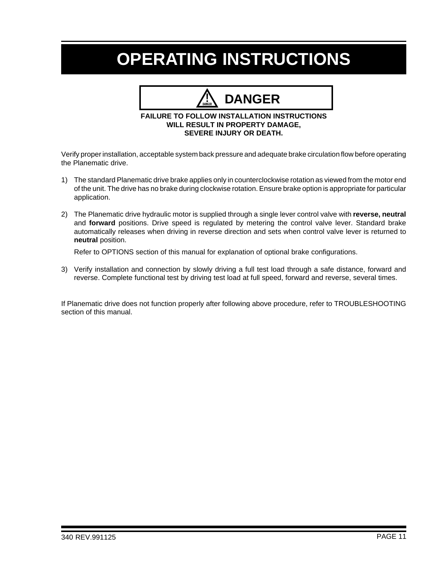## **OPERATING INSTRUCTIONS**

### **DANGER**

#### **FAILURE TO FOLLOW INSTALLATION INSTRUCTIONS WILL RESULT IN PROPERTY DAMAGE, SEVERE INJURY OR DEATH.**

Verify proper installation, acceptable system back pressure and adequate brake circulation flow before operating the Planematic drive.

- 1) The standard Planematic drive brake applies only in counterclockwise rotation as viewed from the motor end of the unit. The drive has no brake during clockwise rotation. Ensure brake option is appropriate for particular application.
- 2) The Planematic drive hydraulic motor is supplied through a single lever control valve with **reverse, neutral** and **forward** positions. Drive speed is regulated by metering the control valve lever. Standard brake automatically releases when driving in reverse direction and sets when control valve lever is returned to **neutral** position.

Refer to OPTIONS section of this manual for explanation of optional brake configurations.

3) Verify installation and connection by slowly driving a full test load through a safe distance, forward and reverse. Complete functional test by driving test load at full speed, forward and reverse, several times.

If Planematic drive does not function properly after following above procedure, refer to TROUBLESHOOTING section of this manual.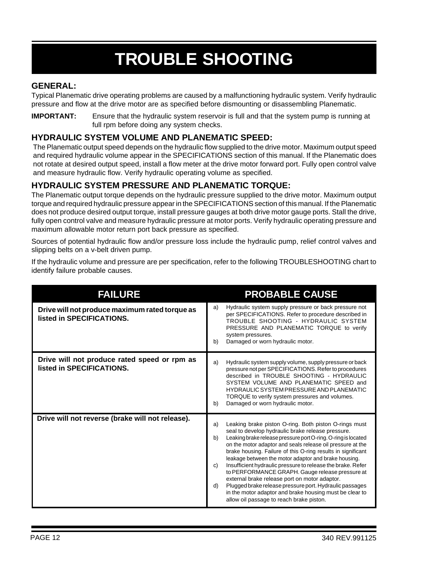# **TROUBLE SHOOTING**

#### **GENERAL:**

Typical Planematic drive operating problems are caused by a malfunctioning hydraulic system. Verify hydraulic pressure and flow at the drive motor are as specified before dismounting or disassembling Planematic.

**IMPORTANT:** Ensure that the hydraulic system reservoir is full and that the system pump is running at full rpm before doing any system checks.

#### **HYDRAULIC SYSTEM VOLUME AND PLANEMATIC SPEED:**

The Planematic output speed depends on the hydraulic flow supplied to the drive motor. Maximum output speed and required hydraulic volume appear in the SPECIFICATIONS section of this manual. If the Planematic does not rotate at desired output speed, install a flow meter at the drive motor forward port. Fully open control valve and measure hydraulic flow. Verify hydraulic operating volume as specified.

#### **HYDRAULIC SYSTEM PRESSURE AND PLANEMATIC TORQUE:**

The Planematic output torque depends on the hydraulic pressure supplied to the drive motor. Maximum output torque and required hydraulic pressure appear in the SPECIFICATIONS section of this manual. If the Planematic does not produce desired output torque, install pressure gauges at both drive motor gauge ports. Stall the drive, fully open control valve and measure hydraulic pressure at motor ports. Verify hydraulic operating pressure and maximum allowable motor return port back pressure as specified.

Sources of potential hydraulic flow and/or pressure loss include the hydraulic pump, relief control valves and slipping belts on a v-belt driven pump.

If the hydraulic volume and pressure are per specification, refer to the following TROUBLESHOOTING chart to identify failure probable causes.

| <b>FAILURE</b>                                                              | <b>PROBABLE CAUSE</b>                                                                                                                                                                                                                                                                                                                                                                                                                                                                                                                                                                                                                                                                                                          |
|-----------------------------------------------------------------------------|--------------------------------------------------------------------------------------------------------------------------------------------------------------------------------------------------------------------------------------------------------------------------------------------------------------------------------------------------------------------------------------------------------------------------------------------------------------------------------------------------------------------------------------------------------------------------------------------------------------------------------------------------------------------------------------------------------------------------------|
| Drive will not produce maximum rated torque as<br>listed in SPECIFICATIONS. | Hydraulic system supply pressure or back pressure not<br>a)<br>per SPECIFICATIONS. Refer to procedure described in<br>TROUBLE SHOOTING - HYDRAULIC SYSTEM<br>PRESSURE AND PLANEMATIC TORQUE to verify<br>system pressures.<br>Damaged or worn hydraulic motor.<br>b)                                                                                                                                                                                                                                                                                                                                                                                                                                                           |
| Drive will not produce rated speed or rpm as<br>listed in SPECIFICATIONS.   | Hydraulic system supply volume, supply pressure or back<br>a)<br>pressure not per SPECIFICATIONS. Refer to procedures<br>described in TROUBLE SHOOTING - HYDRAULIC<br>SYSTEM VOLUME AND PLANEMATIC SPEED and<br>HYDRAULIC SYSTEM PRESSURE AND PLANEMATIC<br>TORQUE to verify system pressures and volumes.<br>Damaged or worn hydraulic motor.<br>b)                                                                                                                                                                                                                                                                                                                                                                           |
| Drive will not reverse (brake will not release).                            | Leaking brake piston O-ring. Both piston O-rings must<br>a)<br>seal to develop hydraulic brake release pressure.<br>Leaking brake release pressure port O-ring. O-ring is located<br>b)<br>on the motor adaptor and seals release oil pressure at the<br>brake housing. Failure of this O-ring results in significant<br>leakage between the motor adaptor and brake housing.<br>Insufficient hydraulic pressure to release the brake. Refer<br>C)<br>to PERFORMANCE GRAPH. Gauge release pressure at<br>external brake release port on motor adaptor.<br>Plugged brake release pressure port. Hydraulic passages<br>d)<br>in the motor adaptor and brake housing must be clear to<br>allow oil passage to reach brake piston. |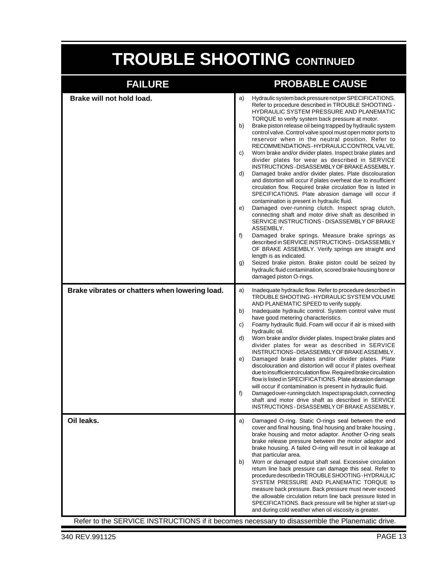# **TROUBLE SHOOTING CONTINUED**

| <b>FAILURE</b>                                 | <b>PROBABLE CAUSE</b>                                                                                                                                                                                                                                                                                                                                                                                                                                                                                                                                                                                                                                                                                                                                                                                                                                                                                                                                                                                                                                                                                                                                                                                                                                                                                                                                                                                                                                                               |
|------------------------------------------------|-------------------------------------------------------------------------------------------------------------------------------------------------------------------------------------------------------------------------------------------------------------------------------------------------------------------------------------------------------------------------------------------------------------------------------------------------------------------------------------------------------------------------------------------------------------------------------------------------------------------------------------------------------------------------------------------------------------------------------------------------------------------------------------------------------------------------------------------------------------------------------------------------------------------------------------------------------------------------------------------------------------------------------------------------------------------------------------------------------------------------------------------------------------------------------------------------------------------------------------------------------------------------------------------------------------------------------------------------------------------------------------------------------------------------------------------------------------------------------------|
| Brake will not hold load.                      | Hydraulic system back pressure not per SPECIFICATIONS.<br>a)<br>Refer to procedure described in TROUBLE SHOOTING -<br>HYDRAULIC SYSTEM PRESSURE AND PLANEMATIC<br>TORQUE to verify system back pressure at motor.<br>b)<br>Brake piston release oil being trapped by hydraulic system<br>control valve. Control valve spool must open motor ports to<br>reservoir when in the neutral position. Refer to<br>RECOMMENDATIONS - HYDRAULIC CONTROL VALVE.<br>C)<br>Worn brake and/or divider plates. Inspect brake plates and<br>divider plates for wear as described in SERVICE<br>INSTRUCTIONS-DISASSEMBLY OF BRAKE ASSEMBLY.<br>d)<br>Damaged brake and/or divider plates. Plate discolouration<br>and distortion will occur if plates overheat due to insufficient<br>circulation flow. Required brake circulation flow is listed in<br>SPECIFICATIONS. Plate abrasion damage will occur if<br>contamination is present in hydraulic fluid.<br>e)<br>Damaged over-running clutch. Inspect sprag clutch,<br>connecting shaft and motor drive shaft as described in<br>SERVICE INSTRUCTIONS - DISASSEMBLY OF BRAKE<br>ASSEMBLY.<br>f)<br>Damaged brake springs. Measure brake springs as<br>described in SERVICE INSTRUCTIONS - DISASSEMBLY<br>OF BRAKE ASSEMBLY. Verify springs are straight and<br>length is as indicated.<br>Seized brake piston. Brake piston could be seized by<br>g)<br>hydraulic fluid contamination, scored brake housing bore or<br>damaged piston O-rings. |
| Brake vibrates or chatters when lowering load. | Inadequate hydraulic flow. Refer to procedure described in<br>a)<br>TROUBLE SHOOTING - HYDRAULIC SYSTEM VOLUME<br>AND PLANEMATIC SPEED to verify supply.<br>Inadequate hydraulic control. System control valve must<br>b)<br>have good metering characteristics.<br>Foamy hydraulic fluid. Foam will occur if air is mixed with<br>C)<br>hydraulic oil.<br>Worn brake and/or divider plates. Inspect brake plates and<br>d)<br>divider plates for wear as described in SERVICE<br>INSTRUCTIONS - DISASSEMBLY OF BRAKE ASSEMBLY.<br>Damaged brake plates and/or divider plates. Plate<br>e)<br>discolouration and distortion will occur if plates overheat<br>due to insufficient circulation flow. Required brake circulation<br>flow is listed in SPECIFICATIONS. Plate abrasion damage<br>will occur if contamination is present in hydraulic fluid.<br>f)<br>Damaged over-running clutch. Inspect sprag clutch, connecting<br>shaft and motor drive shaft as described in SERVICE<br>INSTRUCTIONS - DISASSEMBLY OF BRAKE ASSEMBLY.                                                                                                                                                                                                                                                                                                                                                                                                                                               |
| Oil leaks.                                     | Damaged O-ring. Static O-rings seal between the end<br>a)<br>cover and final housing, final housing and brake housing,<br>brake housing and motor adaptor. Another O-ring seals<br>brake release pressure between the motor adaptor and<br>brake housing. A failed O-ring will result in oil leakage at<br>that particular area.<br>Worn or damaged output shaft seal. Excessive circulation<br>b)<br>return line back pressure can damage this seal. Refer to<br>procedure described in TROUBLE SHOOTING - HYDRAULIC<br>SYSTEM PRESSURE AND PLANEMATIC TORQUE to<br>measure back pressure. Back pressure must never exceed<br>the allowable circulation return line back pressure listed in<br>SPECIFICATIONS. Back pressure will be higher at start-up<br>and during cold weather when oil viscosity is greater.<br>Refer to the SERVICE INSTRUCTIONS if it becomes necessary to disassemble the Planematic drive.                                                                                                                                                                                                                                                                                                                                                                                                                                                                                                                                                                |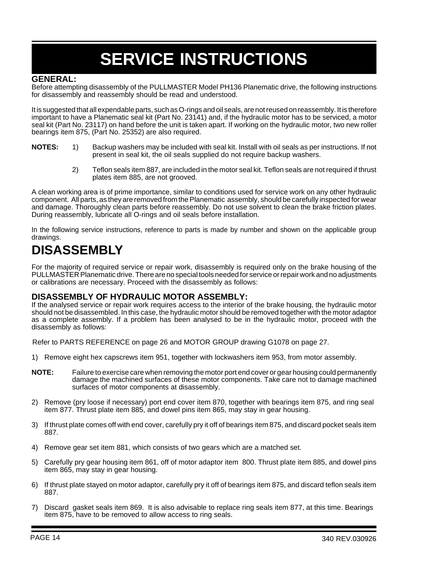# **SERVICE INSTRUCTIONS**

#### **GENERAL:**

Before attempting disassembly of the PULLMASTER Model PH136 Planematic drive, the following instructions for disassembly and reassembly should be read and understood.

It is suggested that all expendable parts, such as O-rings and oil seals, are not reused on reassembly. It is therefore important to have a Planematic seal kit (Part No. 23141) and, if the hydraulic motor has to be serviced, a motor seal kit (Part No. 23117) on hand before the unit is taken apart. If working on the hydraulic motor, two new roller bearings item 875, (Part No. 25352) are also required.

- **NOTES:** 1) Backup washers may be included with seal kit. Install with oil seals as per instructions. If not present in seal kit, the oil seals supplied do not require backup washers.
	- 2) Teflon seals item 887, are included in the motor seal kit. Teflon seals are not required if thrust plates item 885, are not grooved.

A clean working area is of prime importance, similar to conditions used for service work on any other hydraulic component. All parts, as they are removed from the Planematic assembly, should be carefully inspected for wear and damage. Thoroughly clean parts before reassembly. Do not use solvent to clean the brake friction plates. During reassembly, lubricate all O-rings and oil seals before installation.

In the following service instructions, reference to parts is made by number and shown on the applicable group drawings.

### **DISASSEMBLY**

For the majority of required service or repair work, disassembly is required only on the brake housing of the PULLMASTER Planematic drive. There are no special tools needed for service or repair work and no adjustments or calibrations are necessary. Proceed with the disassembly as follows:

#### **DISASSEMBLY OF HYDRAULIC MOTOR ASSEMBLY:**

If the analysed service or repair work requires access to the interior of the brake housing, the hydraulic motor should not be disassembled. In this case, the hydraulic motor should be removed together with the motor adaptor as a complete assembly. If a problem has been analysed to be in the hydraulic motor, proceed with the disassembly as follows:

Refer to PARTS REFERENCE on page 26 and MOTOR GROUP drawing G1078 on page 27.

- 1) Remove eight hex capscrews item 951, together with lockwashers item 953, from motor assembly.
- **NOTE:** Failure to exercise care when removing the motor port end cover or gear housing could permanently damage the machined surfaces of these motor components. Take care not to damage machined surfaces of motor components at disassembly.
- 2) Remove (pry loose if necessary) port end cover item 870, together with bearings item 875, and ring seal item 877. Thrust plate item 885, and dowel pins item 865, may stay in gear housing.
- 3) If thrust plate comes off with end cover, carefully pry it off of bearings item 875, and discard pocket seals item 887.
- 4) Remove gear set item 881, which consists of two gears which are a matched set.
- 5) Carefully pry gear housing item 861, off of motor adaptor item 800. Thrust plate item 885, and dowel pins item 865, may stay in gear housing.
- 6) If thrust plate stayed on motor adaptor, carefully pry it off of bearings item 875, and discard teflon seals item 887.
- 7) Discard gasket seals item 869. It is also advisable to replace ring seals item 877, at this time. Bearings item 875, have to be removed to allow access to ring seals.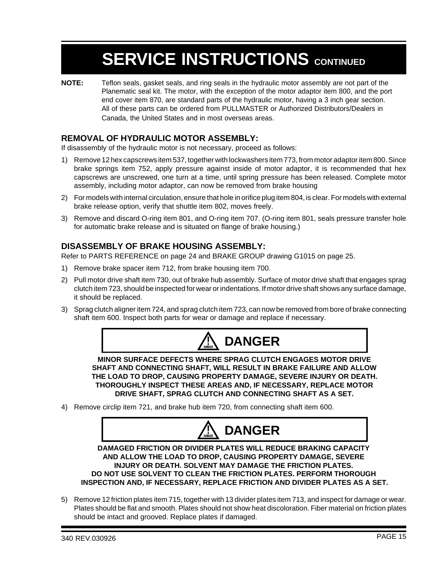**NOTE:** Teflon seals, gasket seals, and ring seals in the hydraulic motor assembly are not part of the Planematic seal kit. The motor, with the exception of the motor adaptor item 800, and the port end cover item 870, are standard parts of the hydraulic motor, having a 3 inch gear section. All of these parts can be ordered from PULLMASTER or Authorized Distributors/Dealers in Canada, the United States and in most overseas areas.

#### **REMOVAL OF HYDRAULIC MOTOR ASSEMBLY:**

If disassembly of the hydraulic motor is not necessary, proceed as follows:

- 1) Remove 12 hex capscrews item 537, together with lockwashers item 773, from motor adaptor item 800. Since brake springs item 752, apply pressure against inside of motor adaptor, it is recommended that hex capscrews are unscrewed, one turn at a time, until spring pressure has been released. Complete motor assembly, including motor adaptor, can now be removed from brake housing
- 2) For models with internal circulation, ensure that hole in orifice plug item 804, is clear. For models with external brake release option, verify that shuttle item 802, moves freely.
- 3) Remove and discard O-ring item 801, and O-ring item 707. (O-ring item 801, seals pressure transfer hole for automatic brake release and is situated on flange of brake housing.)

#### **DISASSEMBLY OF BRAKE HOUSING ASSEMBLY:**

Refer to PARTS REFERENCE on page 24 and BRAKE GROUP drawing G1015 on page 25.

- 1) Remove brake spacer item 712, from brake housing item 700.
- 2) Pull motor drive shaft item 730, out of brake hub assembly. Surface of motor drive shaft that engages sprag clutch item 723, should be inspected for wear or indentations. If motor drive shaft shows any surface damage, it should be replaced.
- 3) Sprag clutch aligner item 724, and sprag clutch item 723, can now be removed from bore of brake connecting shaft item 600. Inspect both parts for wear or damage and replace if necessary.



**MINOR SURFACE DEFECTS WHERE SPRAG CLUTCH ENGAGES MOTOR DRIVE SHAFT AND CONNECTING SHAFT, WILL RESULT IN BRAKE FAILURE AND ALLOW THE LOAD TO DROP, CAUSING PROPERTY DAMAGE, SEVERE INJURY OR DEATH. THOROUGHLY INSPECT THESE AREAS AND, IF NECESSARY, REPLACE MOTOR DRIVE SHAFT, SPRAG CLUTCH AND CONNECTING SHAFT AS A SET.**

4) Remove circlip item 721, and brake hub item 720, from connecting shaft item 600.



**DAMAGED FRICTION OR DIVIDER PLATES WILL REDUCE BRAKING CAPACITY AND ALLOW THE LOAD TO DROP, CAUSING PROPERTY DAMAGE, SEVERE INJURY OR DEATH. SOLVENT MAY DAMAGE THE FRICTION PLATES. DO NOT USE SOLVENT TO CLEAN THE FRICTION PLATES. PERFORM THOROUGH INSPECTION AND, IF NECESSARY, REPLACE FRICTION AND DIVIDER PLATES AS A SET.**

5) Remove 12 friction plates item 715, together with 13 divider plates item 713, and inspect for damage or wear. Plates should be flat and smooth. Plates should not show heat discoloration. Fiber material on friction plates should be intact and grooved. Replace plates if damaged.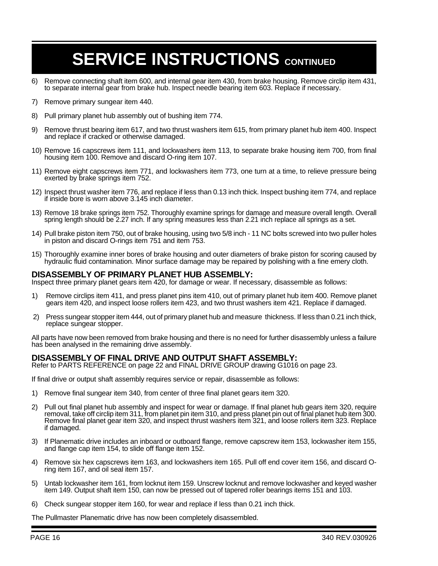- 6) Remove connecting shaft item 600, and internal gear item 430, from brake housing. Remove circlip item 431, to separate internal gear from brake hub. Inspect needle bearing item 603. Replace if necessary.
- 7) Remove primary sungear item 440.
- 8) Pull primary planet hub assembly out of bushing item 774.
- 9) Remove thrust bearing item 617, and two thrust washers item 615, from primary planet hub item 400. Inspect and replace if cracked or otherwise damaged.
- 10) Remove 16 capscrews item 111, and lockwashers item 113, to separate brake housing item 700, from final housing item 100. Remove and discard O-ring item 107.
- 11) Remove eight capscrews item 771, and lockwashers item 773, one turn at a time, to relieve pressure being exerted by brake springs item 752.
- 12) Inspect thrust washer item 776, and replace if less than 0.13 inch thick. Inspect bushing item 774, and replace if inside bore is worn above 3.145 inch diameter.
- 13) Remove 18 brake springs item 752. Thoroughly examine springs for damage and measure overall length. Overall spring length should be 2.27 inch. If any spring measures less than 2.21 inch replace all springs as a set.
- 14) Pull brake piston item 750, out of brake housing, using two 5/8 inch 11 NC bolts screwed into two puller holes in piston and discard O-rings item 751 and item 753.
- 15) Thoroughly examine inner bores of brake housing and outer diameters of brake piston for scoring caused by hydraulic fluid contamination. Minor surface damage may be repaired by polishing with a fine emery cloth.

#### **DISASSEMBLY OF PRIMARY PLANET HUB ASSEMBLY:**

Inspect three primary planet gears item 420, for damage or wear. If necessary, disassemble as follows:

- 1) Remove circlips item 411, and press planet pins item 410, out of primary planet hub item 400. Remove planet gears item 420, and inspect loose rollers item 423, and two thrust washers item 421. Replace if damaged.
- 2) Press sungear stopper item 444, out of primary planet hub and measure thickness. If less than 0.21 inch thick, replace sungear stopper.

All parts have now been removed from brake housing and there is no need for further disassembly unless a failure has been analysed in the remaining drive assembly.

#### **DISASSEMBLY OF FINAL DRIVE AND OUTPUT SHAFT ASSEMBLY:**

Refer to PARTS REFERENCE on page 22 and FINAL DRIVE GROUP drawing G1016 on page 23.

If final drive or output shaft assembly requires service or repair, disassemble as follows:

- 1) Remove final sungear item 340, from center of three final planet gears item 320.
- 2) Pull out final planet hub assembly and inspect for wear or damage. If final planet hub gears item 320, require removal, take off circlip item 311, from planet pin item 310, and press planet pin out of final planet hub item 300. Remove final planet gear item 320, and inspect thrust washers item 321, and loose rollers item 323. Replace if damaged.
- 3) If Planematic drive includes an inboard or outboard flange, remove capscrew item 153, lockwasher item 155, and flange cap item 154, to slide off flange item 152.
- 4) Remove six hex capscrews item 163, and lockwashers item 165. Pull off end cover item 156, and discard Oring item 167, and oil seal item 157.
- 5) Untab lockwasher item 161, from locknut item 159. Unscrew locknut and remove lockwasher and keyed washer item 149. Output shaft item 150, can now be pressed out of tapered roller bearings items 151 and 103.
- 6) Check sungear stopper item 160, for wear and replace if less than 0.21 inch thick.

The Pullmaster Planematic drive has now been completely disassembled.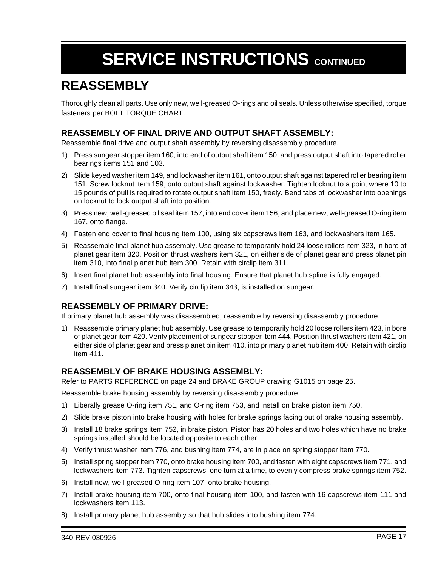### **REASSEMBLY**

Thoroughly clean all parts. Use only new, well-greased O-rings and oil seals. Unless otherwise specified, torque fasteners per BOLT TORQUE CHART.

#### **REASSEMBLY OF FINAL DRIVE AND OUTPUT SHAFT ASSEMBLY:**

Reassemble final drive and output shaft assembly by reversing disassembly procedure.

- 1) Press sungear stopper item 160, into end of output shaft item 150, and press output shaft into tapered roller bearings items 151 and 103.
- 2) Slide keyed washer item 149, and lockwasher item 161, onto output shaft against tapered roller bearing item 151. Screw locknut item 159, onto output shaft against lockwasher. Tighten locknut to a point where 10 to 15 pounds of pull is required to rotate output shaft item 150, freely. Bend tabs of lockwasher into openings on locknut to lock output shaft into position.
- 3) Press new, well-greased oil seal item 157, into end cover item 156, and place new, well-greased O-ring item 167, onto flange.
- 4) Fasten end cover to final housing item 100, using six capscrews item 163, and lockwashers item 165.
- 5) Reassemble final planet hub assembly. Use grease to temporarily hold 24 loose rollers item 323, in bore of planet gear item 320. Position thrust washers item 321, on either side of planet gear and press planet pin item 310, into final planet hub item 300. Retain with circlip item 311.
- 6) Insert final planet hub assembly into final housing. Ensure that planet hub spline is fully engaged.
- 7) Install final sungear item 340. Verify circlip item 343, is installed on sungear.

#### **REASSEMBLY OF PRIMARY DRIVE:**

If primary planet hub assembly was disassembled, reassemble by reversing disassembly procedure.

1) Reassemble primary planet hub assembly. Use grease to temporarily hold 20 loose rollers item 423, in bore of planet gear item 420. Verify placement of sungear stopper item 444. Position thrust washers item 421, on either side of planet gear and press planet pin item 410, into primary planet hub item 400. Retain with circlip item 411.

#### **REASSEMBLY OF BRAKE HOUSING ASSEMBLY:**

Refer to PARTS REFERENCE on page 24 and BRAKE GROUP drawing G1015 on page 25.

Reassemble brake housing assembly by reversing disassembly procedure.

- 1) Liberally grease O-ring item 751, and O-ring item 753, and install on brake piston item 750.
- 2) Slide brake piston into brake housing with holes for brake springs facing out of brake housing assembly.
- 3) Install 18 brake springs item 752, in brake piston. Piston has 20 holes and two holes which have no brake springs installed should be located opposite to each other.
- 4) Verify thrust washer item 776, and bushing item 774, are in place on spring stopper item 770.
- 5) Install spring stopper item 770, onto brake housing item 700, and fasten with eight capscrews item 771, and lockwashers item 773. Tighten capscrews, one turn at a time, to evenly compress brake springs item 752.
- 6) Install new, well-greased O-ring item 107, onto brake housing.
- 7) Install brake housing item 700, onto final housing item 100, and fasten with 16 capscrews item 111 and lockwashers item 113.
- 8) Install primary planet hub assembly so that hub slides into bushing item 774.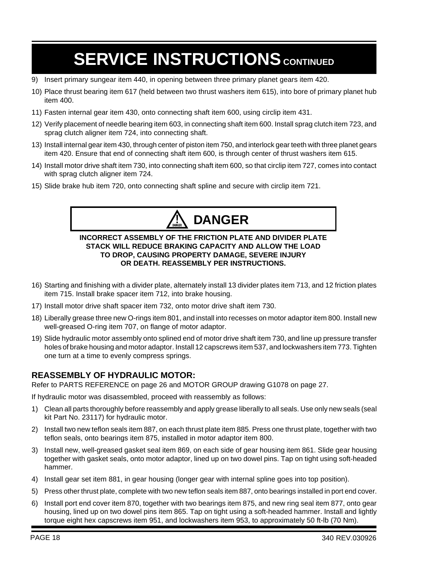- 9) Insert primary sungear item 440, in opening between three primary planet gears item 420.
- 10) Place thrust bearing item 617 (held between two thrust washers item 615), into bore of primary planet hub item 400.
- 11) Fasten internal gear item 430, onto connecting shaft item 600, using circlip item 431.
- 12) Verify placement of needle bearing item 603, in connecting shaft item 600. Install sprag clutch item 723, and sprag clutch aligner item 724, into connecting shaft.
- 13) Install internal gear item 430, through center of piston item 750, and interlock gear teeth with three planet gears item 420. Ensure that end of connecting shaft item 600, is through center of thrust washers item 615.
- 14) Install motor drive shaft item 730, into connecting shaft item 600, so that circlip item 727, comes into contact with sprag clutch aligner item 724.
- 15) Slide brake hub item 720, onto connecting shaft spline and secure with circlip item 721.



#### **INCORRECT ASSEMBLY OF THE FRICTION PLATE AND DIVIDER PLATE STACK WILL REDUCE BRAKING CAPACITY AND ALLOW THE LOAD TO DROP, CAUSING PROPERTY DAMAGE, SEVERE INJURY OR DEATH. REASSEMBLY PER INSTRUCTIONS.**

- 16) Starting and finishing with a divider plate, alternately install 13 divider plates item 713, and 12 friction plates item 715. Install brake spacer item 712, into brake housing.
- 17) Install motor drive shaft spacer item 732, onto motor drive shaft item 730.
- 18) Liberally grease three new O-rings item 801, and install into recesses on motor adaptor item 800. Install new well-greased O-ring item 707, on flange of motor adaptor.
- 19) Slide hydraulic motor assembly onto splined end of motor drive shaft item 730, and line up pressure transfer holes of brake housing and motor adaptor. Install 12 capscrews item 537, and lockwashers item 773. Tighten one turn at a time to evenly compress springs.

#### **REASSEMBLY OF HYDRAULIC MOTOR:**

Refer to PARTS REFERENCE on page 26 and MOTOR GROUP drawing G1078 on page 27.

If hydraulic motor was disassembled, proceed with reassembly as follows:

- 1) Clean all parts thoroughly before reassembly and apply grease liberally to all seals. Use only new seals (seal kit Part No. 23117) for hydraulic motor.
- 2) Install two new teflon seals item 887, on each thrust plate item 885. Press one thrust plate, together with two teflon seals, onto bearings item 875, installed in motor adaptor item 800.
- 3) Install new, well-greased gasket seal item 869, on each side of gear housing item 861. Slide gear housing together with gasket seals, onto motor adaptor, lined up on two dowel pins. Tap on tight using soft-headed hammer.
- 4) Install gear set item 881, in gear housing (longer gear with internal spline goes into top position).
- 5) Press other thrust plate, complete with two new teflon seals item 887, onto bearings installed in port end cover.
- 6) Install port end cover item 870, together with two bearings item 875, and new ring seal item 877, onto gear housing, lined up on two dowel pins item 865. Tap on tight using a soft-headed hammer. Install and lightly torque eight hex capscrews item 951, and lockwashers item 953, to approximately 50 ft-lb (70 Nm).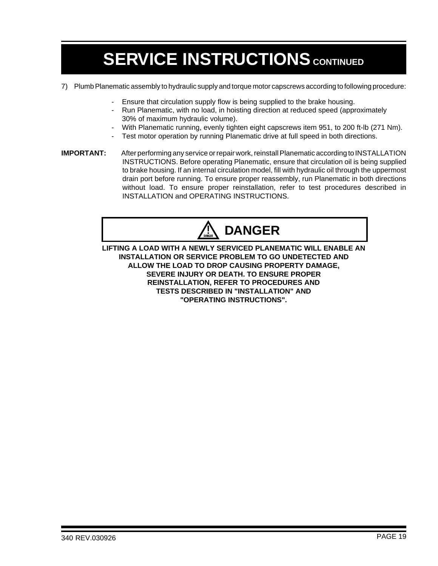- 7) Plumb Planematic assembly to hydraulic supply and torque motor capscrews according to following procedure:
	- Ensure that circulation supply flow is being supplied to the brake housing.
	- Run Planematic, with no load, in hoisting direction at reduced speed (approximately 30% of maximum hydraulic volume).
	- With Planematic running, evenly tighten eight capscrews item 951, to 200 ft-lb (271 Nm).
	- Test motor operation by running Planematic drive at full speed in both directions.
- **IMPORTANT:** After performing any service or repair work, reinstall Planematic according to INSTALLATION INSTRUCTIONS. Before operating Planematic, ensure that circulation oil is being supplied to brake housing. If an internal circulation model, fill with hydraulic oil through the uppermost drain port before running. To ensure proper reassembly, run Planematic in both directions without load. To ensure proper reinstallation, refer to test procedures described in INSTALLATION and OPERATING INSTRUCTIONS.



**LIFTING A LOAD WITH A NEWLY SERVICED PLANEMATIC WILL ENABLE AN INSTALLATION OR SERVICE PROBLEM TO GO UNDETECTED AND ALLOW THE LOAD TO DROP CAUSING PROPERTY DAMAGE, SEVERE INJURY OR DEATH. TO ENSURE PROPER REINSTALLATION, REFER TO PROCEDURES AND TESTS DESCRIBED IN "INSTALLATION" AND "OPERATING INSTRUCTIONS".**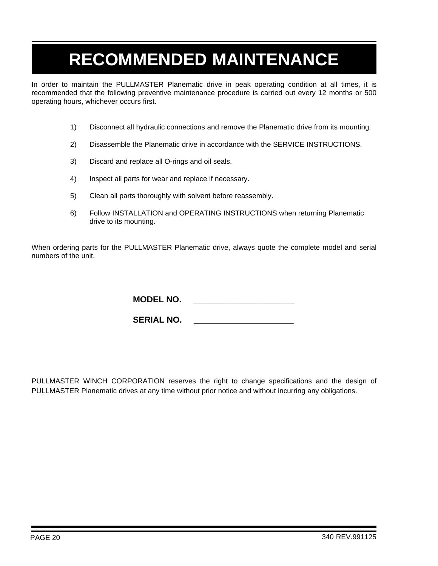# **RECOMMENDED MAINTENANCE**

In order to maintain the PULLMASTER Planematic drive in peak operating condition at all times, it is recommended that the following preventive maintenance procedure is carried out every 12 months or 500 operating hours, whichever occurs first.

- 1) Disconnect all hydraulic connections and remove the Planematic drive from its mounting.
- 2) Disassemble the Planematic drive in accordance with the SERVICE INSTRUCTIONS.
- 3) Discard and replace all O-rings and oil seals.
- 4) Inspect all parts for wear and replace if necessary.
- 5) Clean all parts thoroughly with solvent before reassembly.
- 6) Follow INSTALLATION and OPERATING INSTRUCTIONS when returning Planematic drive to its mounting.

When ordering parts for the PULLMASTER Planematic drive, always quote the complete model and serial numbers of the unit.

**MODEL NO. \_\_\_\_\_\_\_\_\_\_\_\_\_\_\_\_\_\_\_\_\_**

**SERIAL NO. \_\_\_\_\_\_\_\_\_\_\_\_\_\_\_\_\_\_\_\_\_**

PULLMASTER WINCH CORPORATION reserves the right to change specifications and the design of PULLMASTER Planematic drives at any time without prior notice and without incurring any obligations.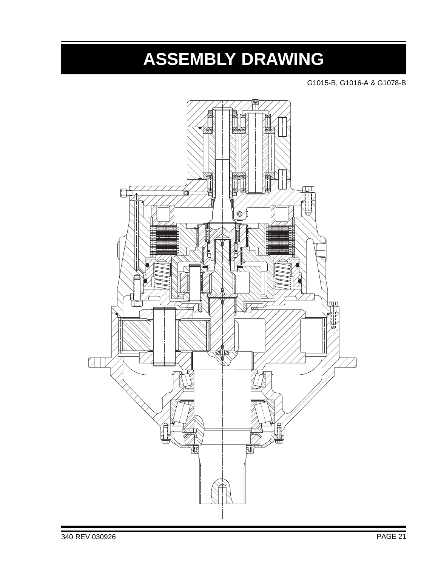## **ASSEMBLY DRAWING**

G1015-B, G1016-A & G1078-B

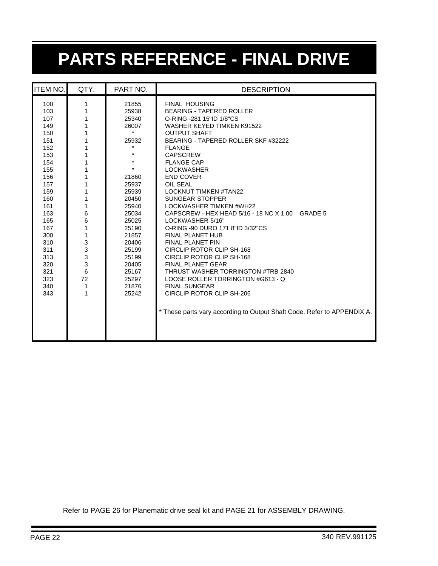# **PARTS REFERENCE - FINAL DRIVE**

| <b>ITEM NO.</b>                                                                                                                                                                           | QTY.                                                                                                                            | PART NO.                                                                                                                                                                                                                      | <b>DESCRIPTION</b>                                                                                                                                                                                                                                                                                                                                                                                                                                                                                                                                                                                                                                                                                                                                                                                                                                                        |
|-------------------------------------------------------------------------------------------------------------------------------------------------------------------------------------------|---------------------------------------------------------------------------------------------------------------------------------|-------------------------------------------------------------------------------------------------------------------------------------------------------------------------------------------------------------------------------|---------------------------------------------------------------------------------------------------------------------------------------------------------------------------------------------------------------------------------------------------------------------------------------------------------------------------------------------------------------------------------------------------------------------------------------------------------------------------------------------------------------------------------------------------------------------------------------------------------------------------------------------------------------------------------------------------------------------------------------------------------------------------------------------------------------------------------------------------------------------------|
| 100<br>103<br>107<br>149<br>150<br>151<br>152<br>153<br>154<br>155<br>156<br>157<br>159<br>160<br>161<br>163<br>165<br>167<br>300<br>310<br>311<br>313<br>320<br>321<br>323<br>340<br>343 | 1<br>1<br>1<br>1<br>1<br>1<br>1<br>1<br>1<br>1<br>1<br>1<br>1<br>1<br>6<br>6<br>1<br>1<br>3<br>3<br>3<br>3<br>6<br>72<br>1<br>1 | 21855<br>25938<br>25340<br>26007<br>$\star$<br>25932<br>*<br>$\star$<br>21860<br>25937<br>25939<br>20450<br>25940<br>25034<br>25025<br>25190<br>21857<br>20406<br>25199<br>25199<br>20405<br>25167<br>25297<br>21876<br>25242 | <b>FINAL HOUSING</b><br><b>BEARING - TAPERED ROLLER</b><br>O-RING -281 15"ID 1/8"CS<br><b>WASHER KEYED TIMKEN K91522</b><br><b>OUTPUT SHAFT</b><br>BEARING - TAPERED ROLLER SKF #32222<br><b>FLANGE</b><br><b>CAPSCREW</b><br><b>FLANGE CAP</b><br><b>LOCKWASHER</b><br><b>END COVER</b><br>OIL SEAL<br><b>LOCKNUT TIMKEN #TAN22</b><br><b>SUNGEAR STOPPER</b><br><b>LOCKWASHER TIMKEN #WH22</b><br>CAPSCREW - HEX HEAD 5/16 - 18 NC X 1.00 GRADE 5<br>LOCKWASHER 5/16"<br>O-RING -90 DURO 171 8"ID 3/32"CS<br><b>FINAL PLANET HUB</b><br><b>FINAL PLANET PIN</b><br>CIRCLIP ROTOR CLIP SH-168<br>CIRCLIP ROTOR CLIP SH-168<br><b>FINAL PLANET GEAR</b><br>THRUST WASHER TORRINGTON #TRB 2840<br>LOOSE ROLLER TORRINGTON #G613 - Q<br><b>FINAL SUNGEAR</b><br><b>CIRCLIP ROTOR CLIP SH-206</b><br>* These parts vary according to Output Shaft Code. Refer to APPENDIX A. |
|                                                                                                                                                                                           |                                                                                                                                 |                                                                                                                                                                                                                               |                                                                                                                                                                                                                                                                                                                                                                                                                                                                                                                                                                                                                                                                                                                                                                                                                                                                           |

Refer to PAGE 26 for Planematic drive seal kit and PAGE 21 for ASSEMBLY DRAWING.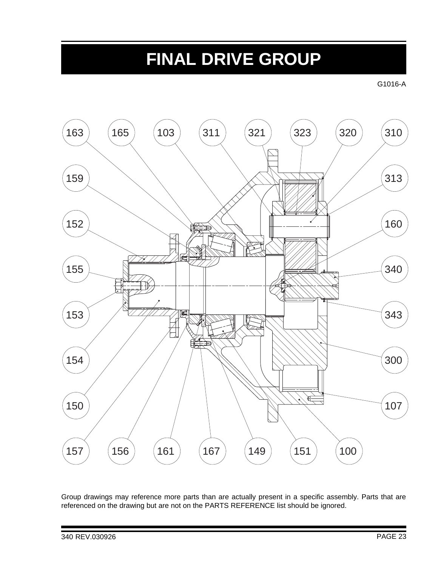### **FINAL DRIVE GROUP**

G1016-A



Group drawings may reference more parts than are actually present in a specific assembly. Parts that are referenced on the drawing but are not on the PARTS REFERENCE list should be ignored.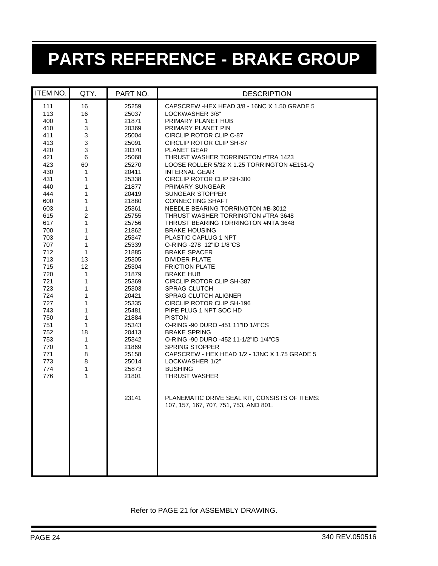# **PARTS REFERENCE - BRAKE GROUP**

| <b>ITEM NO.</b>                                                                                                                                                                                                                                                        | QTY.                                                                                                                                                                                                                                                   | PART NO.                                                                                                                                                                                                                                                                                                                                                    | <b>DESCRIPTION</b>                                                                                                                                                                                                                                                                                                                                                                                                                                                                                                                                                                                                                                                                                                                                                                                                                                                                                                                                                                                                                                                                                                                                                                                    |
|------------------------------------------------------------------------------------------------------------------------------------------------------------------------------------------------------------------------------------------------------------------------|--------------------------------------------------------------------------------------------------------------------------------------------------------------------------------------------------------------------------------------------------------|-------------------------------------------------------------------------------------------------------------------------------------------------------------------------------------------------------------------------------------------------------------------------------------------------------------------------------------------------------------|-------------------------------------------------------------------------------------------------------------------------------------------------------------------------------------------------------------------------------------------------------------------------------------------------------------------------------------------------------------------------------------------------------------------------------------------------------------------------------------------------------------------------------------------------------------------------------------------------------------------------------------------------------------------------------------------------------------------------------------------------------------------------------------------------------------------------------------------------------------------------------------------------------------------------------------------------------------------------------------------------------------------------------------------------------------------------------------------------------------------------------------------------------------------------------------------------------|
| 111<br>113<br>400<br>410<br>411<br>413<br>420<br>421<br>423<br>430<br>431<br>440<br>444<br>600<br>603<br>615<br>617<br>700<br>703<br>707<br>712<br>713<br>715<br>720<br>721<br>723<br>724<br>727<br>743<br>750<br>751<br>752<br>753<br>770<br>771<br>773<br>774<br>776 | 16<br>16<br>1<br>$\ensuremath{\mathsf{3}}$<br>3<br>$\mathsf 3$<br>$\mathsf 3$<br>6<br>60<br>1<br>1<br>1<br>1<br>1<br>1<br>$\mathbf 2$<br>1<br>1<br>1<br>1<br>1<br>13<br>12<br>1<br>1<br>1<br>1<br>1<br>1<br>1<br>1<br>18<br>1<br>1<br>8<br>8<br>1<br>1 | 25259<br>25037<br>21871<br>20369<br>25004<br>25091<br>20370<br>25068<br>25270<br>20411<br>25338<br>21877<br>20419<br>21880<br>25361<br>25755<br>25756<br>21862<br>25347<br>25339<br>21885<br>25305<br>25304<br>21879<br>25369<br>25303<br>20421<br>25335<br>25481<br>21884<br>25343<br>20413<br>25342<br>21869<br>25158<br>25014<br>25873<br>21801<br>23141 | CAPSCREW-HEX HEAD 3/8 - 16NC X 1.50 GRADE 5<br>LOCKWASHER 3/8"<br>PRIMARY PLANET HUB<br>PRIMARY PLANET PIN<br>CIRCLIP ROTOR CLIP C-87<br>CIRCLIP ROTOR CLIP SH-87<br><b>PLANET GEAR</b><br>THRUST WASHER TORRINGTON #TRA 1423<br>LOOSE ROLLER 5/32 X 1.25 TORRINGTON #E151-Q<br><b>INTERNAL GEAR</b><br>CIRCLIP ROTOR CLIP SH-300<br>PRIMARY SUNGEAR<br><b>SUNGEAR STOPPER</b><br><b>CONNECTING SHAFT</b><br>NEEDLE BEARING TORRINGTON #B-3012<br>THRUST WASHER TORRINGTON #TRA 3648<br>THRUST BEARING TORRINGTON #NTA 3648<br><b>BRAKE HOUSING</b><br>PLASTIC CAPLUG 1 NPT<br>O-RING -278 12"ID 1/8"CS<br><b>BRAKE SPACER</b><br>DIVIDER PLATE<br><b>FRICTION PLATE</b><br><b>BRAKE HUB</b><br><b>CIRCLIP ROTOR CLIP SH-387</b><br><b>SPRAG CLUTCH</b><br><b>SPRAG CLUTCH ALIGNER</b><br>CIRCLIP ROTOR CLIP SH-196<br>PIPE PLUG 1 NPT SOC HD<br><b>PISTON</b><br>O-RING -90 DURO -451 11"ID 1/4"CS<br><b>BRAKE SPRING</b><br>O-RING -90 DURO -452 11-1/2"ID 1/4"CS<br><b>SPRING STOPPER</b><br>CAPSCREW - HEX HEAD 1/2 - 13NC X 1.75 GRADE 5<br>LOCKWASHER 1/2"<br><b>BUSHING</b><br><b>THRUST WASHER</b><br>PLANEMATIC DRIVE SEAL KIT, CONSISTS OF ITEMS:<br>107, 157, 167, 707, 751, 753, AND 801. |

#### Refer to PAGE 21 for ASSEMBLY DRAWING.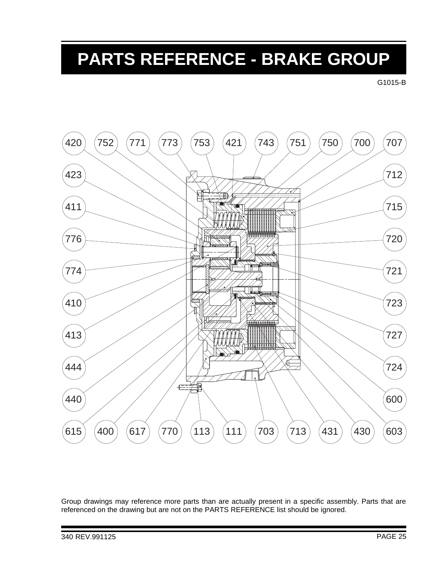# **PARTS REFERENCE - BRAKE GROUP**

G1015-B



Group drawings may reference more parts than are actually present in a specific assembly. Parts that are referenced on the drawing but are not on the PARTS REFERENCE list should be ignored.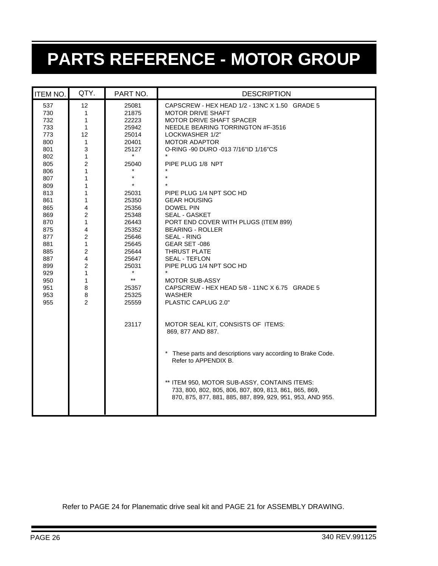# **PARTS REFERENCE - MOTOR GROUP**

| <b>ITEM NO.</b>                                                                                                                                                                                  | QTY.                                                                                                                                                                                                                                                           | PART NO.                                                                                                                                                                                                                                                                | <b>DESCRIPTION</b>                                                                                                                                                                                                                                                                                                                                                                                                                                                                                                                                                                                                                                                                                                                                                                                                                                                                                                                                          |
|--------------------------------------------------------------------------------------------------------------------------------------------------------------------------------------------------|----------------------------------------------------------------------------------------------------------------------------------------------------------------------------------------------------------------------------------------------------------------|-------------------------------------------------------------------------------------------------------------------------------------------------------------------------------------------------------------------------------------------------------------------------|-------------------------------------------------------------------------------------------------------------------------------------------------------------------------------------------------------------------------------------------------------------------------------------------------------------------------------------------------------------------------------------------------------------------------------------------------------------------------------------------------------------------------------------------------------------------------------------------------------------------------------------------------------------------------------------------------------------------------------------------------------------------------------------------------------------------------------------------------------------------------------------------------------------------------------------------------------------|
| 537<br>730<br>732<br>733<br>773<br>800<br>801<br>802<br>805<br>806<br>807<br>809<br>813<br>861<br>865<br>869<br>870<br>875<br>877<br>881<br>885<br>887<br>899<br>929<br>950<br>951<br>953<br>955 | 12<br>1<br>1<br>$\mathbf{1}$<br>12<br>$\mathbf{1}$<br>3<br>$\mathbf{1}$<br>$\overline{c}$<br>1<br>1<br>1<br>1<br>1<br>4<br>2<br>1<br>4<br>2<br>$\mathbf{1}$<br>$\overline{c}$<br>4<br>$\overline{\mathbf{c}}$<br>1<br>$\mathbf{1}$<br>8<br>8<br>$\overline{2}$ | 25081<br>21875<br>22223<br>25942<br>25014<br>20401<br>25127<br>$\star$<br>25040<br>$\star$<br>$\star$<br>25031<br>25350<br>25356<br>25348<br>26443<br>25352<br>25646<br>25645<br>25644<br>25647<br>25031<br>$\star$<br>$\star\star$<br>25357<br>25325<br>25559<br>23117 | CAPSCREW - HEX HEAD 1/2 - 13NC X 1.50 GRADE 5<br><b>MOTOR DRIVE SHAFT</b><br>MOTOR DRIVE SHAFT SPACER<br>NEEDLE BEARING TORRINGTON #F-3516<br>LOCKWASHER 1/2"<br><b>MOTOR ADAPTOR</b><br>O-RING -90 DURO -013 7/16"ID 1/16"CS<br>PIPE PLUG 1/8 NPT<br>PIPE PLUG 1/4 NPT SOC HD<br><b>GEAR HOUSING</b><br>DOWEL PIN<br>SEAL - GASKET<br>PORT END COVER WITH PLUGS (ITEM 899)<br><b>BEARING - ROLLER</b><br><b>SEAL - RING</b><br>GEAR SET-086<br><b>THRUST PLATE</b><br><b>SEAL - TEFLON</b><br>PIPE PLUG 1/4 NPT SOC HD<br><b>MOTOR SUB-ASSY</b><br>CAPSCREW - HEX HEAD 5/8 - 11NC X 6.75 GRADE 5<br>WASHER<br>PLASTIC CAPLUG 2.0"<br>MOTOR SEAL KIT, CONSISTS OF ITEMS:<br>869, 877 AND 887.<br>These parts and descriptions vary according to Brake Code.<br>Refer to APPENDIX B.<br>** ITEM 950, MOTOR SUB-ASSY, CONTAINS ITEMS:<br>733, 800, 802, 805, 806, 807, 809, 813, 861, 865, 869,<br>870, 875, 877, 881, 885, 887, 899, 929, 951, 953, AND 955. |

Refer to PAGE 24 for Planematic drive seal kit and PAGE 21 for ASSEMBLY DRAWING.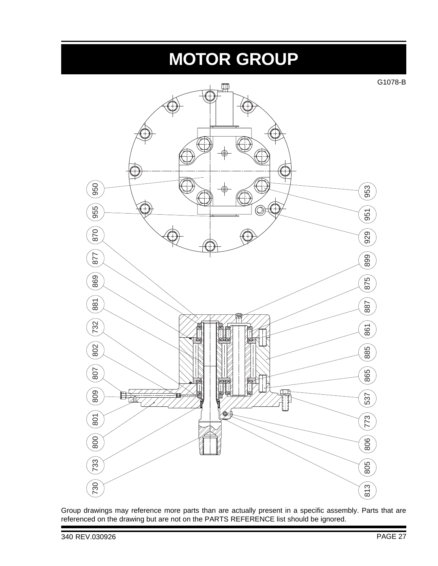## **MOTOR GROUP**

G1078-B



Group drawings may reference more parts than are actually present in a specific assembly. Parts that are referenced on the drawing but are not on the PARTS REFERENCE list should be ignored.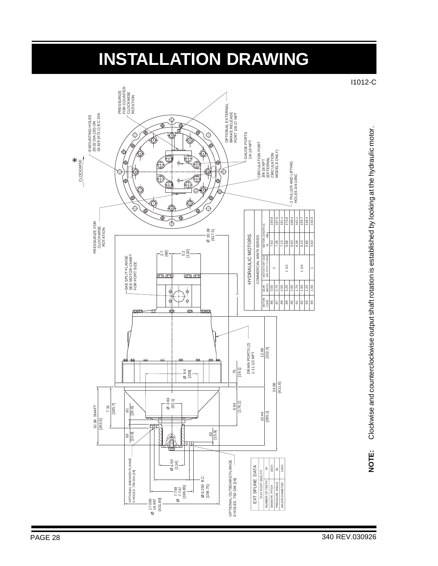## **INSTALLATION DRAWING**

I1012-C



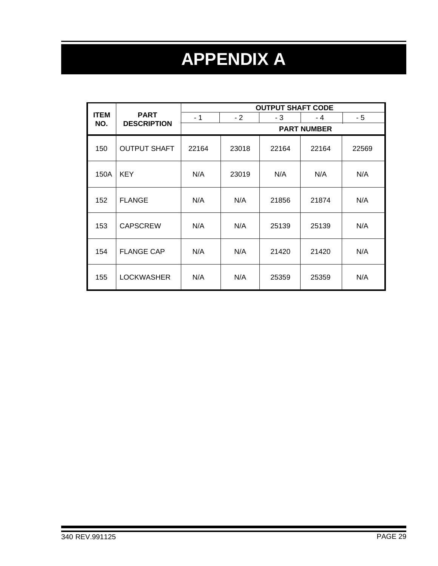# **APPENDIX A**

|             | <b>PART</b>         | <b>OUTPUT SHAFT CODE</b> |                    |       |       |       |  |  |  |
|-------------|---------------------|--------------------------|--------------------|-------|-------|-------|--|--|--|
| <b>ITEM</b> |                     | $-1$                     | $-2$               | - 3   | - 4   | - 5   |  |  |  |
| NO.         | <b>DESCRIPTION</b>  |                          | <b>PART NUMBER</b> |       |       |       |  |  |  |
| 150         | <b>OUTPUT SHAFT</b> | 22164                    | 23018              | 22164 | 22164 | 22569 |  |  |  |
| 150A        | <b>KEY</b>          | N/A                      | 23019              | N/A   | N/A   | N/A   |  |  |  |
| 152         | <b>FLANGE</b>       | N/A                      | N/A                | 21856 | 21874 | N/A   |  |  |  |
| 153         | <b>CAPSCREW</b>     | N/A                      | N/A                | 25139 | 25139 | N/A   |  |  |  |
| 154         | <b>FLANGE CAP</b>   | N/A                      | N/A                | 21420 | 21420 | N/A   |  |  |  |
| 155         | <b>LOCKWASHER</b>   | N/A                      | N/A                | 25359 | 25359 | N/A   |  |  |  |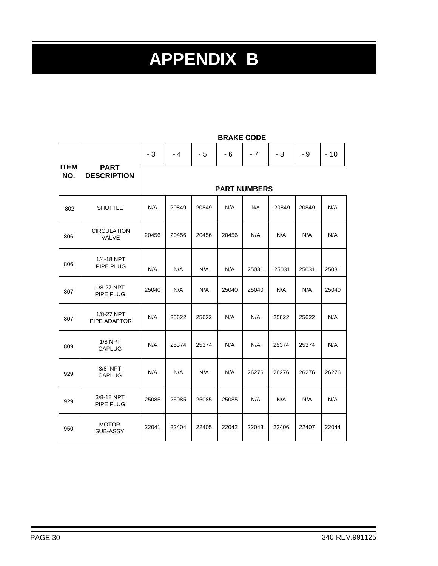# **APPENDIX B**

|     |                                                  | $-3$  | - 4                 | - 5   | $-6$  | $-7$  | $-8$  | - 9   | $-10$ |  |
|-----|--------------------------------------------------|-------|---------------------|-------|-------|-------|-------|-------|-------|--|
| NO. | <b>ITEM</b><br><b>PART</b><br><b>DESCRIPTION</b> |       | <b>PART NUMBERS</b> |       |       |       |       |       |       |  |
| 802 | <b>SHUTTLE</b>                                   | N/A   | 20849               | 20849 | N/A   | N/A   | 20849 | 20849 | N/A   |  |
| 806 | <b>CIRCULATION</b><br>VALVE                      | 20456 | 20456               | 20456 | 20456 | N/A   | N/A   | N/A   | N/A   |  |
| 806 | 1/4-18 NPT<br><b>PIPE PLUG</b>                   | N/A   | N/A                 | N/A   | N/A   | 25031 | 25031 | 25031 | 25031 |  |
| 807 | 1/8-27 NPT<br>PIPE PLUG                          | 25040 | N/A                 | N/A   | 25040 | 25040 | N/A   | N/A   | 25040 |  |
| 807 | 1/8-27 NPT<br>PIPE ADAPTOR                       | N/A   | 25622               | 25622 | N/A   | N/A   | 25622 | 25622 | N/A   |  |
| 809 | $1/8$ NPT<br><b>CAPLUG</b>                       | N/A   | 25374               | 25374 | N/A   | N/A   | 25374 | 25374 | N/A   |  |
| 929 | 3/8 NPT<br><b>CAPLUG</b>                         | N/A   | N/A                 | N/A   | N/A   | 26276 | 26276 | 26276 | 26276 |  |
| 929 | 3/8-18 NPT<br>PIPE PLUG                          | 25085 | 25085               | 25085 | 25085 | N/A   | N/A   | N/A   | N/A   |  |
| 950 | <b>MOTOR</b><br>SUB-ASSY                         | 22041 | 22404               | 22405 | 22042 | 22043 | 22406 | 22407 | 22044 |  |

**BRAKE CODE**

 $\overline{\phantom{0}}$ 

h

F